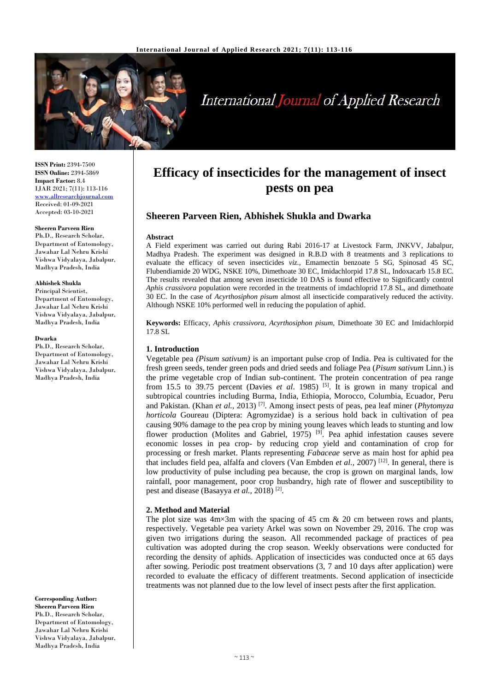

# **International Journal of Applied Research**

**ISSN Print:** 2394-7500 **ISSN Online:** 2394-5869 **Impact Factor:** 8.4 IJAR 2021; 7(11): 113-116 [www.allresearchjournal.com](http://www.allresearchjournal.com/) Received: 01-09-2021 Accepted: 03-10-2021

#### **Sheeren Parveen Rien**

Ph.D., Research Scholar, Department of Entomology, Jawahar Lal Nehru Krishi Vishwa Vidyalaya, Jabalpur, Madhya Pradesh, India

#### **Abhishek Shukla**

Principal Scientist, Department of Entomology, Jawahar Lal Nehru Krishi Vishwa Vidyalaya, Jabalpur, Madhya Pradesh, India

#### **Dwarka**

Ph.D., Research Scholar, Department of Entomology, Jawahar Lal Nehru Krishi Vishwa Vidyalaya, Jabalpur, Madhya Pradesh, India

**Corresponding Author: Sheeren Parveen Rien** Ph.D., Research Scholar, Department of Entomology, Jawahar Lal Nehru Krishi Vishwa Vidyalaya, Jabalpur, Madhya Pradesh, India

# **Efficacy of insecticides for the management of insect pests on pea**

# **Sheeren Parveen Rien, Abhishek Shukla and Dwarka**

#### **Abstract**

A Field experiment was carried out during Rabi 2016-17 at Livestock Farm, JNKVV, Jabalpur, Madhya Pradesh. The experiment was designed in R.B.D with 8 treatments and 3 replications to evaluate the efficacy of seven insecticides *viz*., Emamectin benzoate 5 SG, Spinosad 45 SC, Flubendiamide 20 WDG, NSKE 10%, Dimethoate 30 EC, Imidachlorpid 17.8 SL, Indoxacarb 15.8 EC. The results revealed that among seven insecticide 10 DAS is found effective to Significantly control *Aphis crassivora* population were recorded in the treatments of imdachloprid 17.8 SL, and dimethoate 30 EC. In the case of *Acyrthosiphon pisum* almost all insecticide comparatively reduced the activity. Although NSKE 10% performed well in reducing the population of aphid.

**Keywords:** Efficacy, *Aphis crassivora, Acyrthosiphon pisum,* Dimethoate 30 EC and Imidachlorpid 17.8 SL

#### **1. Introduction**

Vegetable pea *(Pisum sativum)* is an important pulse crop of India. Pea is cultivated for the fresh green seeds, tender green pods and dried seeds and foliage Pea (*Pisum sativum* Linn.) is the prime vegetable crop of Indian sub-continent. The protein concentration of pea range from 15.5 to 39.75 percent (Davies *et al*. 1985) [5]. It is grown in many tropical and subtropical countries including Burma, India, Ethiopia, Morocco, Columbia, Ecuador, Peru and Pakistan. (Khan *et al.,* 2013) [7]. Among insect pests of peas, pea leaf miner (*Phytomyza horticola* Goureau (Diptera: Agromyzidae) is a serious hold back in cultivation of pea causing 90% damage to the pea crop by mining young leaves which leads to stunting and low flower production (Molites and Gabriel, 1975)<sup>[9]</sup>. Pea aphid infestation causes severe economic losses in pea crop- by reducing crop yield and contamination of crop for processing or fresh market. Plants representing *Fabaceae* serve as main host for aphid pea that includes field pea, alfalfa and clovers (Van Embden *et al.,* 2007) [12]. In general, there is low productivity of pulse including pea because, the crop is grown on marginal lands, low rainfall, poor management, poor crop husbandry, high rate of flower and susceptibility to pest and disease (Basayya et al., 2018)<sup>[2]</sup>.

#### **2. Method and Material**

The plot size was  $4m \times 3m$  with the spacing of 45 cm & 20 cm between rows and plants, respectively. Vegetable pea variety Arkel was sown on November 29, 2016. The crop was given two irrigations during the season. All recommended package of practices of pea cultivation was adopted during the crop season. Weekly observations were conducted for recording the density of aphids. Application of insecticides was conducted once at 65 days after sowing. Periodic post treatment observations (3, 7 and 10 days after application) were recorded to evaluate the efficacy of different treatments. Second application of insecticide treatments was not planned due to the low level of insect pests after the first application.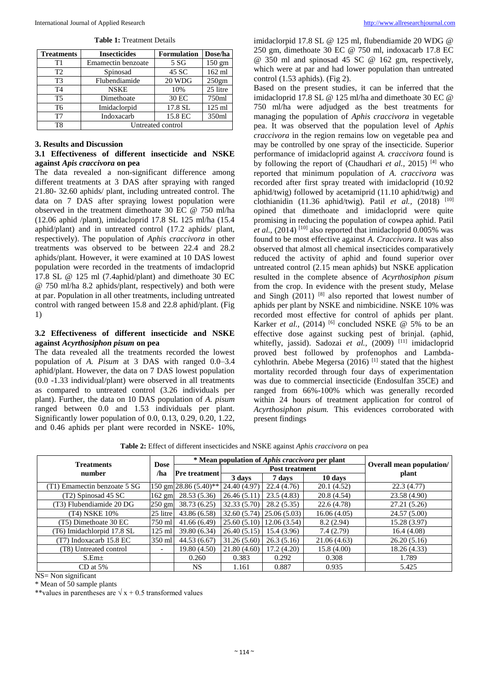| <b>Treatments</b> | <b>Insecticides</b> | <b>Formulation</b> | Dose/ha          |  |  |
|-------------------|---------------------|--------------------|------------------|--|--|
| Τ1                | Emamectin benzoate  | 5 SG               | $150 \text{ gm}$ |  |  |
| T2                | Spinosad            | 45 SC              | 162 ml           |  |  |
| T <sub>3</sub>    | Flubendiamide       | 20 WDG             | 250gm            |  |  |
| T <sub>4</sub>    | <b>NSKE</b>         | 10%                | 25 litre         |  |  |
| T <sub>5</sub>    | Dimethoate          | 30 EC              | 750ml            |  |  |
| T6                | Imidaclorpid        | 17.8 SL            | $125$ ml         |  |  |
| T7                | Indoxacarb          | 15.8 EC            | 350ml            |  |  |
| T8                | Untreated control   |                    |                  |  |  |

**Table 1:** Treatment Details

#### **3. Results and Discussion**

#### **3.1 Effectiveness of different insecticide and NSKE against** *Apis craccivora* **on pea**

The data revealed a non-significant difference among different treatments at 3 DAS after spraying with ranged 21.80- 32.60 aphids/ plant, including untreated control. The data on 7 DAS after spraying lowest population were observed in the treatment dimethoate 30 EC @ 750 ml/ha (12.06 aphid /plant), imidacloprid 17.8 SL 125 ml/ha (15.4 aphid/plant) and in untreated control (17.2 aphids/ plant, respectively). The population of *Aphis craccivora* in other treatments was observed to be between 22.4 and 28.2 aphids/plant. However, it were examined at 10 DAS lowest population were recorded in the treatments of imdacloprid 17.8 SL @ 125 ml (7.4aphid/plant) and dimethoate 30 EC @ 750 ml/ha 8.2 aphids/plant, respectively) and both were at par. Population in all other treatments, including untreated control with ranged between 15.8 and 22.8 aphid/plant. (Fig 1)

## **3.2 Effectiveness of different insecticide and NSKE against** *Acyrthosiphon pisum* **on pea**

The data revealed all the treatments recorded the lowest population of *A. Pisum* at 3 DAS with ranged 0.0–3.4 aphid/plant. However, the data on 7 DAS lowest population (0.0 -1.33 individual/plant) were observed in all treatments as compared to untreated control (3.26 individuals per plant). Further, the data on 10 DAS population of *A. pisum*  ranged between 0.0 and 1.53 individuals per plant. Significantly lower population of 0.0, 0.13, 0.29, 0.20, 1.22, and 0.46 aphids per plant were recorded in NSKE- 10%,

imidaclorpid 17.8 SL @ 125 ml, flubendiamide 20 WDG @ 250 gm, dimethoate 30 EC @ 750 ml, indoxacarb 17.8 EC @ 350 ml and spinosad 45 SC @ 162 gm, respectively, which were at par and had lower population than untreated control (1.53 aphids). (Fig 2).

Based on the present studies, it can be inferred that the imidacloprid 17.8 SL @ 125 ml/ha and dimethoate 30 EC @ 750 ml/ha were adjudged as the best treatments for managing the population of *Aphis craccivora* in vegetable pea. It was observed that the population level of *Aphis craccivora* in the region remains low on vegetable pea and may be controlled by one spray of the insecticide. Superior performance of imidacloprid against *A. craccivora* found is by following the report of (Chaudhari *et al.,* 2015) [4] who reported that minimum population of *A. craccivora* was recorded after first spray treated with imidacloprid (10.92 aphid/twig) followed by acetamiprid (11.10 aphid/twig) and clothianidin (11.36 aphid/twig). Patil *et al.*, (2018) <sup>[10]</sup> opined that dimethoate and imidacloprid were quite promising in reducing the population of cowpea aphid. Patil *et al.,* (2014)<sup>[10]</sup> also reported that imidacloprid  $0.005\%$  was found to be most effective against *A. Craccivora*. It was also observed that almost all chemical insecticides comparatively reduced the activity of aphid and found superior over untreated control (2.15 mean aphids) but NSKE application resulted in the complete absence of *Acyrthosiphon pisum*  from the crop. In evidence with the present study, Melase and Singh  $(2011)$  [8] also reported that lowest number of aphids per plant by NSKE and nimbicidine. NSKE 10% was recorded most effective for control of aphids per plant. Karker *et al.*, (2014) <sup>[6]</sup> concluded NSKE  $\omega$  5% to be an effective dose against sucking pest of brinjal. (aphid, whitefly, jassid). Sadozai et al., (2009) [11] imidacloprid proved best followed by profenophos and Lambdacyhlothrin. Abebe Megersa  $(2016)$ <sup>[1]</sup> stated that the highest mortality recorded through four days of experimentation was due to commercial insecticide (Endosulfan 35CE) and ranged from 66%-100% which was generally recorded within 24 hours of treatment application for control of *Acyrthosiphon pisum.* This evidences corroborated with present findings

**Table 2:** Effect of different insecticides and NSKE against *Aphis craccivora* on pea

|                              |                          | * Mean population of <i>Aphis craccivora</i> per plant |                       |                           |             |                                 |  |
|------------------------------|--------------------------|--------------------------------------------------------|-----------------------|---------------------------|-------------|---------------------------------|--|
| <b>Treatments</b><br>number  | <b>Dose</b><br>/ha       | <b>Pre</b> treatment                                   | <b>Post treatment</b> |                           |             | <b>Overall mean population/</b> |  |
|                              |                          |                                                        | 3 days                | 7 days                    | 10 days     | plant                           |  |
| (T1) Emamectin benzoate 5 SG |                          | 150 gm 28.86 (5.40)**                                  | 24.40 (4.97)          | 22.4(4.76)                | 20.1 (4.52) | 22.3(4.77)                      |  |
| (T2) Spinosad 45 SC          | $162$ gm                 | 28.53 (5.36)                                           | 26.46(5.11)           | 23.5(4.83)                | 20.8(4.54)  | 23.58 (4.90)                    |  |
| (T3) Flubendiamide 20 DG     | $250 \text{ gm}$         | 38.73 (6.25)                                           | 32.33 (5.70)          | 28.2(5.35)                | 22.6 (4.78) | 27.21 (5.26)                    |  |
| (T4) NSKE 10%                | 25 litre                 | 43.86 (6.58)                                           | 32.60(5.74)           | $\vert 25.06(5.03) \vert$ | 16.06(4.05) | 24.57 (5.00)                    |  |
| (T5) Dimethoate 30 EC        | 750 ml                   | 41.66(6.49)                                            | 25.60(5.10)           | 12.06(3.54)               | 8.2(2.94)   | 15.28 (3.97)                    |  |
| (T6) Imidachlorpid 17.8 SL   | $125$ ml                 | 39.80 (6.34)                                           | 26.40(5.15)           | 15.4 (3.96)               | 7.4(2.79)   | 16.4(4.08)                      |  |
| (T7) Indoxacarb 15.8 EC      | 350 ml                   | 44.53 (6.67)                                           | 31.26(5.60)           | 26.3(5.16)                | 21.06(4.63) | 26.20(5.16)                     |  |
| (T8) Untreated control       | $\overline{\phantom{a}}$ | 19.80 (4.50)                                           | 21.80(4.60)           | 17.2 (4.20)               | 15.8(4.00)  | 18.26 (4.33)                    |  |
| $S.Em\pm$                    |                          | 0.260                                                  | 0.383                 | 0.292                     | 0.308       | 1.789                           |  |
| $CD$ at 5%                   |                          | NS.                                                    | 1.161                 | 0.887                     | 0.935       | 5.425                           |  |

NS= Non significant

\* Mean of 50 sample plants

\*\*values in parentheses are  $\sqrt{x}$  + 0.5 transformed values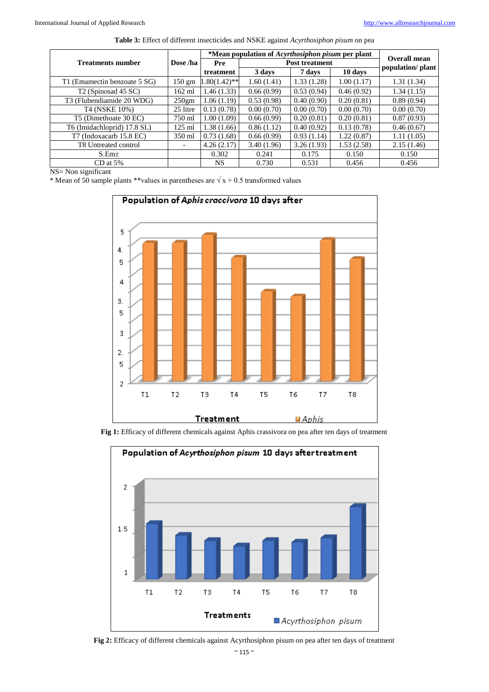|                                 |                          | *Mean population of Acyrthosiphon pisum per plant |            |            | Overall mean      |            |
|---------------------------------|--------------------------|---------------------------------------------------|------------|------------|-------------------|------------|
| <b>Treatments number</b>        | Dose /ha                 | Pre<br><b>Post treatment</b>                      |            |            | population/ plant |            |
|                                 |                          | treatment                                         | 3 days     | 7 days     | 10 days           |            |
| T1 (Emamectin benzoate 5 SG)    | 150 gm                   | $.80(1.42)$ **                                    | 1.60(1.41) | 1.33(1.28) | 1.00(1.17)        | 1.31(1.34) |
| T <sub>2</sub> (Spinosad 45 SC) | $162$ ml                 | 1.46(1.33)                                        | 0.66(0.99) | 0.53(0.94) | 0.46(0.92)        | 1.34(1.15) |
| T3 (Flubendiamide 20 WDG)       | 250 <sub>gm</sub>        | 1.06(1.19)                                        | 0.53(0.98) | 0.40(0.90) | 0.20(0.81)        | 0.89(0.94) |
| T4 (NSKE 10%)                   | 25 litre                 | 0.13(0.78)                                        | 0.00(0.70) | 0.00(0.70) | 0.00(0.70)        | 0.00(0.70) |
| T5 (Dimethoate 30 EC)           | 750 ml                   | 1.00(1.09)                                        | 0.66(0.99) | 0.20(0.81) | 0.20(0.81)        | 0.87(0.93) |
| T6 (Imidachloprid) 17.8 SL)     | 125 ml                   | 1.38(1.66)                                        | 0.86(1.12) | 0.40(0.92) | 0.13(0.78)        | 0.46(0.67) |
| T7 (Indoxacarb 15.8 EC)         | 350 ml                   | 0.73(1.68)                                        | 0.66(0.99) | 0.93(1.14) | 1.22 (0.87)       | 1.11(1.05) |
| T8 Untreated control            | $\overline{\phantom{0}}$ | 4.26(2.17)                                        | 3.40(1.96) | 3.26(1.93) | 1.53(2.58)        | 2.15(1.46) |
| S.Em <sub>±</sub>               |                          | 0.302                                             | 0.241      | 0.175      | 0.150             | 0.150      |
| $CD$ at 5%                      |                          | NS.                                               | 0.730      | 0.531      | 0.456             | 0.456      |

NS= Non significant

\* Mean of 50 sample plants \*\*values in parentheses are  $\sqrt{x} + 0.5$  transformed values



**Fig 1:** Efficacy of different chemicals against Aphis crassivora on pea after ten days of treatment



**Fig 2:** Efficacy of different chemicals against Acyrthosiphon pisum on pea after ten days of treatment